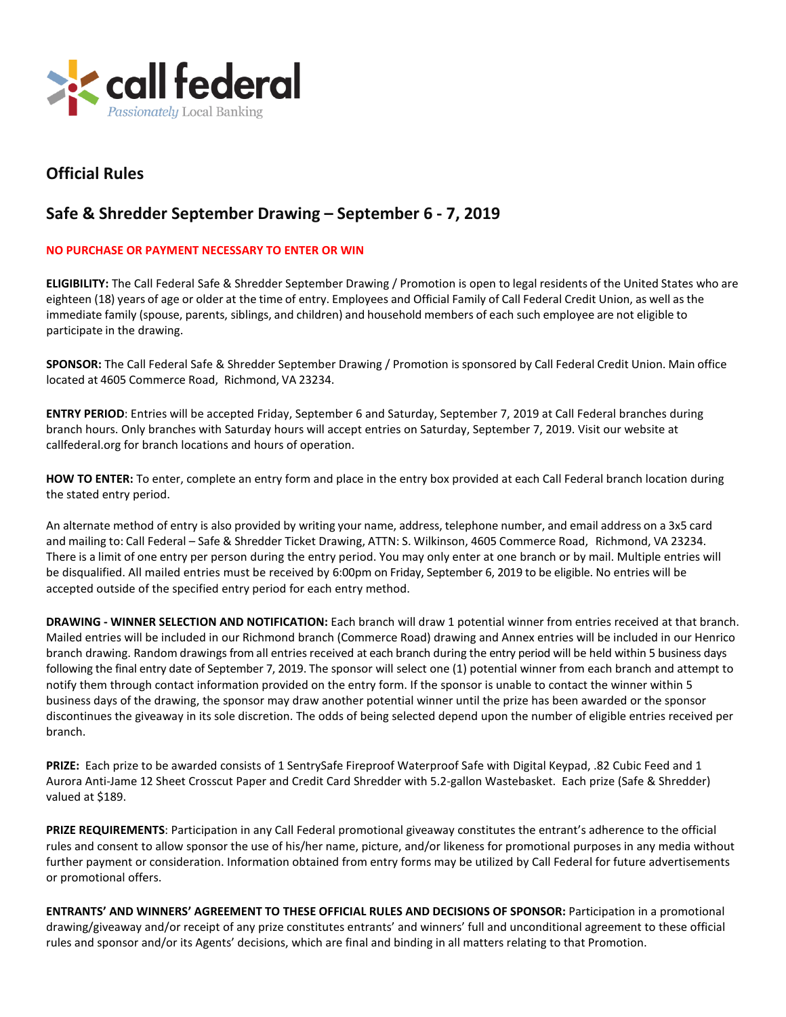

## **Official Rules**

## **Safe & Shredder September Drawing – September 6 - 7, 2019**

## **NO PURCHASE OR PAYMENT NECESSARY TO ENTER OR WIN**

**ELIGIBILITY:** The Call Federal Safe & Shredder September Drawing / Promotion is open to legal residents of the United States who are eighteen (18) years of age or older at the time of entry. Employees and Official Family of Call Federal Credit Union, as well asthe immediate family (spouse, parents, siblings, and children) and household members of each such employee are not eligible to participate in the drawing.

**SPONSOR:** The Call Federal Safe & Shredder September Drawing / Promotion is sponsored by Call Federal Credit Union. Main office located at 4605 Commerce Road, Richmond, VA 23234.

**ENTRY PERIOD**: Entries will be accepted Friday, September 6 and Saturday, September 7, 2019 at Call Federal branches during branch hours. Only branches with Saturday hours will accept entries on Saturday, September 7, 2019. Visit our website at callfederal.org for branch locations and hours of operation.

**HOW TO ENTER:** To enter, complete an entry form and place in the entry box provided at each Call Federal branch location during the stated entry period.

An alternate method of entry is also provided by writing your name, address, telephone number, and email address on a 3x5 card and mailing to: Call Federal – Safe & Shredder Ticket Drawing, ATTN: S. Wilkinson, 4605 Commerce Road, Richmond, VA 23234. There is a limit of one entry per person during the entry period. You may only enter at one branch or by mail. Multiple entries will be disqualified. All mailed entries must be received by 6:00pm on Friday, September 6, 2019 to be eligible. No entries will be accepted outside of the specified entry period for each entry method.

**DRAWING - WINNER SELECTION AND NOTIFICATION:** Each branch will draw 1 potential winner from entries received at that branch. Mailed entries will be included in our Richmond branch (Commerce Road) drawing and Annex entries will be included in our Henrico branch drawing. Random drawings from all entries received at each branch during the entry period will be held within 5 business days following the final entry date of September 7, 2019. The sponsor will select one (1) potential winner from each branch and attempt to notify them through contact information provided on the entry form. If the sponsor is unable to contact the winner within 5 business days of the drawing, the sponsor may draw another potential winner until the prize has been awarded or the sponsor discontinues the giveaway in its sole discretion. The odds of being selected depend upon the number of eligible entries received per branch.

**PRIZE:** Each prize to be awarded consists of 1 SentrySafe Fireproof Waterproof Safe with Digital Keypad, .82 Cubic Feed and 1 Aurora Anti-Jame 12 Sheet Crosscut Paper and Credit Card Shredder with 5.2-gallon Wastebasket. Each prize (Safe & Shredder) valued at \$189.

**PRIZE REQUIREMENTS**: Participation in any Call Federal promotional giveaway constitutes the entrant's adherence to the official rules and consent to allow sponsor the use of his/her name, picture, and/or likeness for promotional purposes in any media without further payment or consideration. Information obtained from entry forms may be utilized by Call Federal for future advertisements or promotional offers.

**ENTRANTS' AND WINNERS' AGREEMENT TO THESE OFFICIAL RULES AND DECISIONS OF SPONSOR:** Participation in a promotional drawing/giveaway and/or receipt of any prize constitutes entrants' and winners' full and unconditional agreement to these official rules and sponsor and/or its Agents' decisions, which are final and binding in all matters relating to that Promotion.